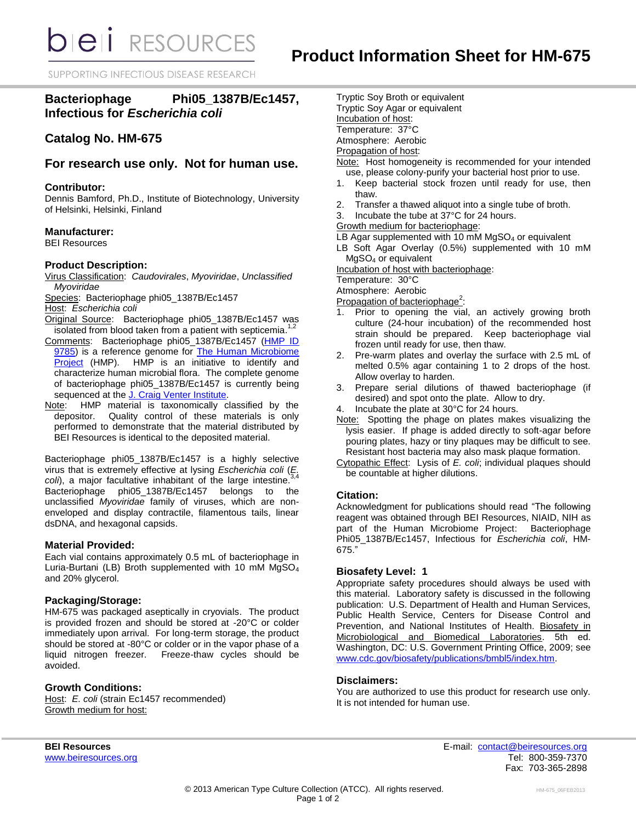**bieli** RESOURCES

SUPPORTING INFECTIOUS DISEASE RESEARCH

# **Bacteriophage Phi05\_1387B/Ec1457, Infectious for** *Escherichia coli*

# **Catalog No. HM-675**

# **For research use only. Not for human use.**

### **Contributor:**

Dennis Bamford, Ph.D., Institute of Biotechnology, University of Helsinki, Helsinki, Finland

# **Manufacturer:**

BEI Resources

#### **Product Description:**

Virus Classification: *Caudovirales*, *Myoviridae*, *Unclassified Myoviridae*

Species: Bacteriophage phi05\_1387B/Ec1457

Host: *Escherichia coli*

- Original Source: Bacteriophage phi05\_1387B/Ec1457 was isolated from blood taken from a patient with septicemia.<sup>1,2</sup>
- Comments: Bacteriophage phi05\_1387B/Ec1457 [\(HMP ID](http://www.hmpdacc-resources.org/cgi-bin/hmp_catalog/main.cgi?section=HmpSummary&page=displayHmpProject&hmp_id=9785)  [9785\)](http://www.hmpdacc-resources.org/cgi-bin/hmp_catalog/main.cgi?section=HmpSummary&page=displayHmpProject&hmp_id=9785) is a reference genome for The Human Microbiome [Project](http://nihroadmap.nih.gov/hmp/) (HMP). HMP is an initiative to identify and characterize human microbial flora. The complete genome of bacteriophage phi05\_1387B/Ec1457 is currently being sequenced at the [J. Craig Venter Institute.](http://hmp.jcvi.org/)
- Note: HMP material is taxonomically classified by the depositor. Quality control of these materials is only performed to demonstrate that the material distributed by BEI Resources is identical to the deposited material.

Bacteriophage phi05\_1387B/Ec1457 is a highly selective virus that is extremely effective at lysing *Escherichia coli* (*E. coli*), a major facultative inhabitant of the large intestine.<sup>3</sup> Bacteriophage phi05\_1387B/Ec1457 belongs to the unclassified *Myoviridae* family of viruses, which are nonenveloped and display contractile, filamentous tails, linear dsDNA, and hexagonal capsids.

#### **Material Provided:**

Each vial contains approximately 0.5 mL of bacteriophage in Luria-Burtani (LB) Broth supplemented with 10 mM MgSO<sup>4</sup> and 20% glycerol.

# **Packaging/Storage:**

HM-675 was packaged aseptically in cryovials. The product is provided frozen and should be stored at -20°C or colder immediately upon arrival. For long-term storage, the product should be stored at -80°C or colder or in the vapor phase of a liquid nitrogen freezer. Freeze-thaw cycles should be avoided.

# **Growth Conditions:**

Host: *E. coli* (strain Ec1457 recommended) Growth medium for host:

Tryptic Soy Broth or equivalent Tryptic Soy Agar or equivalent Incubation of host: Temperature: 37°C Atmosphere: Aerobic Propagation of host:

Note: Host homogeneity is recommended for your intended use, please colony-purify your bacterial host prior to use.

- 1. Keep bacterial stock frozen until ready for use, then thaw.
- 2. Transfer a thawed aliquot into a single tube of broth.
- 3. Incubate the tube at 37°C for 24 hours.

Growth medium for bacteriophage:

LB Agar supplemented with 10 mM  $MgSO<sub>4</sub>$  or equivalent

LB Soft Agar Overlay (0.5%) supplemented with 10 mM MgSO<sup>4</sup> or equivalent

Incubation of host with bacteriophage:

Temperature: 30°C

Atmosphere: Aerobic

Propagation of bacteriophage<sup>2</sup>:

- 1. Prior to opening the vial, an actively growing broth culture (24-hour incubation) of the recommended host strain should be prepared. Keep bacteriophage vial frozen until ready for use, then thaw.
- 2. Pre-warm plates and overlay the surface with 2.5 mL of melted 0.5% agar containing 1 to 2 drops of the host. Allow overlay to harden.
- 3. Prepare serial dilutions of thawed bacteriophage (if desired) and spot onto the plate. Allow to dry.
- Incubate the plate at 30°C for 24 hours.
- Note: Spotting the phage on plates makes visualizing the lysis easier. If phage is added directly to soft-agar before pouring plates, hazy or tiny plaques may be difficult to see. Resistant host bacteria may also mask plaque formation.
- Cytopathic Effect: Lysis of *E. coli*; individual plaques should be countable at higher dilutions.

#### **Citation:**

Acknowledgment for publications should read "The following reagent was obtained through BEI Resources, NIAID, NIH as part of the Human Microbiome Project: Bacteriophage Phi05\_1387B/Ec1457, Infectious for *Escherichia coli*, HM-675."

# **Biosafety Level: 1**

Appropriate safety procedures should always be used with this material. Laboratory safety is discussed in the following publication: U.S. Department of Health and Human Services, Public Health Service, Centers for Disease Control and Prevention, and National Institutes of Health. Biosafety in Microbiological and Biomedical Laboratories. 5th ed. Washington, DC: U.S. Government Printing Office, 2009; see [www.cdc.gov/biosafety/publications/bmbl5/index.htm.](http://www.cdc.gov/biosafety/publications/bmbl5/index.htm)

# **Disclaimers:**

You are authorized to use this product for research use only. It is not intended for human use.

**BEI Resources** E-mail: [contact@beiresources.org](mailto:contact@beiresources.org) [www.beiresources.org](http://www.beiresources.org/) **Tel: 800-359-7370** Fax: 703-365-2898